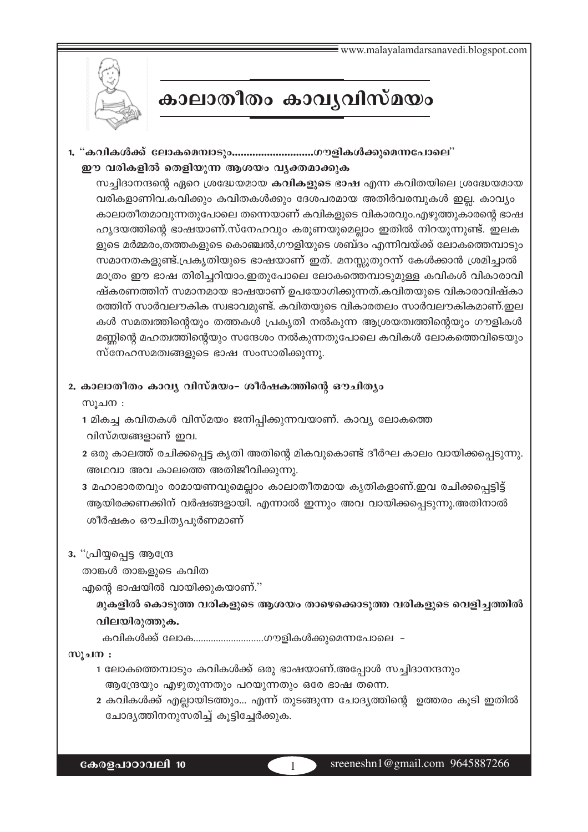

# കാലാതീതം കാവൃവിസ്മയം

1. "കവികൾക്ക് ലോകമെമ്പാടും.............................ഗൗളികൾക്കുമെന്നപോലെ" ഈ വരികളിൽ തെളിയുന്ന ആശയം വ്യക്തമാക്കുക

സച്ചിദാനന്ദന്റെ ഏറെ ശ്രദ്ധേയമായ കവികളുടെ ഭാഷ എന്ന കവിതയിലെ ശ്രദ്ധേയമായ വരികളാണിവ.കവിക്കും കവിതകൾക്കും ദേശപരമായ അതിർവരമ്പുകൾ ഇല്ല. കാവ്യം കാലാതീതമാവുന്നതുപോലെ തന്നെയാണ് കവികളുടെ വികാരവും.എഴുത്തുകാരന്റെ ഭാഷ ഹൃദയത്തിന്റെ ഭാഷയാണ്.സ്നേഹവും കരുണയുമെല്ലാം ഇതിൽ നിറയുന്നുണ്ട്. ഇലക ളുടെ മർമ്മരം,തത്തകളുടെ കൊഞ്ചൽ,ഗൗളിയുടെ ശബ്ദം എന്നിവയ്ക്ക് ലോകത്തെമ്പാടും സമാനതകളുണ്ട്.പ്രകൃതിയുടെ ഭാഷയാണ് ഇത്. മനസ്സുതുറന്ന് കേൾക്കാൻ ശ്രമിച്ചാൽ മാത്രം ഈ ഭാഷ തിരിച്ചറിയാം.ഇതുപോലെ ലോകത്തെമ്പാടുമുള്ള കവികൾ വികാരാവി ഷ്കരണത്തിന് സമാനമായ ഭാഷയാണ് ഉപയോഗിക്കുന്നത്.കവിതയുടെ വികാരാവിഷ്കാ രത്തിന് സാർവലൗകിക സ്വഭാവമുണ്ട്. കവിതയുടെ വികാരതലം സാർവലൗകികമാണ്.ഇല കൾ സമത്വത്തിന്റെയും തത്തകൾ പ്രകൃതി നൽകുന്ന ആശ്രയത്വത്തിന്റെയും ഗൗളികൾ മണ്ണിന്റെ മഹത്വത്തിന്റെയും സന്ദേശം നൽകുന്നതുപോലെ കവികൾ ലോകത്തെവിടെയും സ്നേഹസമത്വങ്ങളുടെ ഭാഷ സംസാരിക്കുന്നു.

### 2. കാലാതീതം കാവൃ വിസ്മയം- ശീർഷകത്തിന്റെ ഔചിതൃം

സൂചന :

- 1 മികച്ച കവിതകൾ വിസ്മയം ജനിപ്പിക്കുന്നവയാണ്. കാവ്യ ലോകത്തെ വിസ്മയങ്ങളാണ് ഇവ.
- 2 ഒരു കാലത്ത് രചിക്കപ്പെട്ട കൃതി അതിന്റെ മികവുകൊണ്ട് ദീർഘ കാലം വായിക്കപ്പെടുന്നു. അഥവാ അവ കാലത്തെ അതിജീവിക്കുന്നു.
- 3 മഹാഭാരതവും രാമായണവുമെല്ലാം കാലാതീതമായ കൃതികളാണ്.ഇവ രചിക്കപ്പെട്ടിട്ട് ആയിരക്കണക്കിന് വർഷങ്ങളായി. എന്നാൽ ഇന്നും അവ വായിക്കപ്പെടുന്നു.അതിനാൽ ശീർഷകം ഔചിതൃപൂർണമാണ്

### 3. "പ്രിയ്യപ്പെട്ട ആന്ദ്രേ

താങ്കൾ താങ്കളുടെ കവിത

എന്റെ ഭാഷയിൽ വായിക്കുകയാണ്."

മുകളിൽ കൊടുത്ത വരികളുടെ ആശയം താഴെക്കൊടുത്ത വരികളുടെ വെളിച്ചത്തിൽ വിലയിരുത്തുക.

കവികൾക്ക് ലോക..............................ഗൗളികൾക്കുമെന്നപോലെ -

### സുചന $:$

- 1 ലോകത്തെമ്പാടും കവികൾക്ക് ഒരു ഭാഷയാണ്.അപ്പോൾ സച്ചിദാനന്ദനും ആന്ദ്രേയും എഴുതുന്നതും പറയുന്നതും ഒരേ ഭാഷ തന്നെ.
- 2 കവികൾക്ക് എല്ലായിടത്തും... എന്ന് തുടങ്ങുന്ന ചോദ്യത്തിന്റെ ഉത്തരം കൂടി ഇതിൽ ചോദൃത്തിനനുസരിച്ച് കൂട്ടിച്ചേർക്കുക.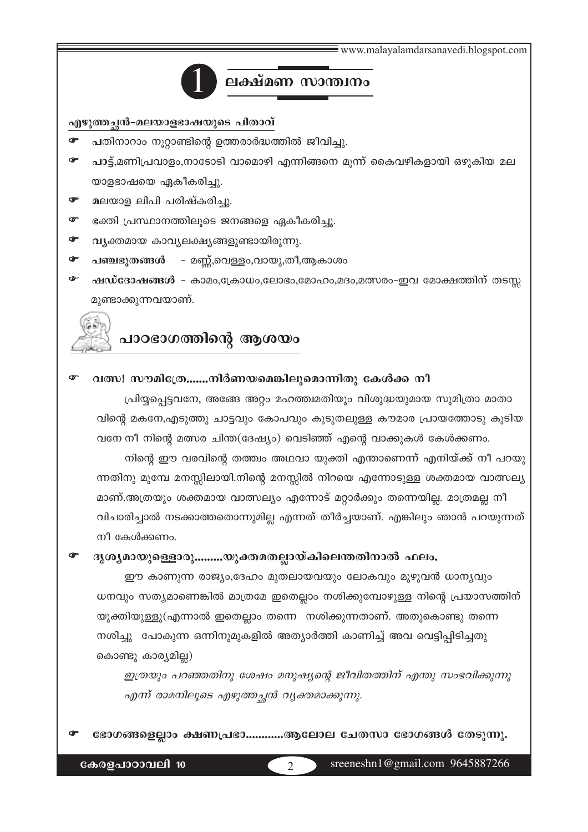www.malayalamdarsanayedi.blogspot.com



# ലക്ഷ്മണ സാന്ത്വനം

എഴുത്തച്ഛൻ-മലയാളഭാഷയുടെ പിതാവ്

- പതിനാറാം നൂറ്റാണ്ടിന്റെ ഉത്തരാർദ്ധത്തിൽ ജീവിച്ചു.
- പാട്ട്,മണിപ്രവാളം,നാടോടി വാമൊഴി എന്നിങ്ങനെ മൂന്ന് കൈവഴികളായി ഒഴുകിയ മല യാളഭാഷയെ ഏകീകരിച്ചു.
- മലയാള ലിപി പരിഷ്കരിച്ചു.  $\bullet$
- ഭക്തി പ്രസ്ഥാനത്തിലൂടെ ജനങ്ങളെ ഏകീകരിച്ചു.  $\bullet$
- വ്യക്തമായ കാവ്യലക്ഷ്യങ്ങളുണ്ടായിരുന്നു. ൙
- പഞ്ചഭൂതങ്ങൾ മണ്ണ്,വെള്ളം,വായു,തീ,ആകാശം  $\sigma$
- ഷഡ്ദോഷങ്ങൾ കാമം,ക്രോധം,ലോഭം,മോഹം,മദം,മത്സരം-ഇവ മോക്ഷത്തിന് തടസ്സ œ മുണ്ടാക്കുന്നവയാണ്.

# പാഠഭാഗത്തിന്റെ ആശയം

#### വത്സ! സൗമിഹ്രേ.......നിർണയമെങ്കിലുമൊന്നിതു കേൾക്ക നീ

പ്രിയ്യപ്പെട്ടവനേ, അങ്ങേ അറ്റം മഹത്ത്വമതിയും വിശുദ്ധയുമായ സുമിത്രാ മാതാ വിന്റെ മകനേ,എടുത്തു ചാട്ടവും കോപവും കൂടുതലുള്ള കൗമാര പ്രായത്തോടു കൂടിയ വനേ നീ നിന്റെ മത്സര ചിന്ത(ദേഷ്യം) വെടിഞ്ഞ് എന്റെ വാക്കുകൾ കേൾക്കണം.

നിന്റെ ഈ വരവിന്റെ തത്ത്വം അഥവാ യുക്തി എന്താണെന്ന് എനിയ്ക്ക് നീ പറയു ന്നതിനു മുമ്പേ മനസ്സിലായി.നിന്റെ മനസ്സിൽ നിറയെ എന്നോടുള്ള ശക്തമായ വാത്സല്യ

മാണ്.അത്രയും ശക്തമായ വാത്സല്യം എന്നോട് മറ്റാർക്കും തന്നെയില്ല. മാത്രമല്ല നീ വിചാരിച്ചാൽ നടക്കാത്തതൊന്നുമില്ല എന്നത് തീർച്ചയാണ്. എങ്കിലും ഞാൻ പറയുന്നത് നീ കേൾക്കണം.

#### ദൃശ്യമായുള്ളൊരു.........യുക്തമതല്ലായ്കിലെന്തതിനാൽ ഫലം.

ഈ കാണുന്ന രാജ്യം,ദേഹം മുതലായവയും ലോകവും മുഴുവൻ ധാന്യവും ധനവും സത്യമാണെങ്കിൽ മാത്രമേ ഇതെല്ലാം നശിക്കുമ്പോഴുള്ള നിന്റെ പ്രയാസത്തിന് യുക്തിയുള്ളു(എന്നാൽ ഇതെല്ലാം തന്നെ നശിക്കുന്നതാണ്. അതുകൊണ്ടു തന്നെ നശിച്ചു "പോകുന്ന ഒന്നിനുമുകളിൽ അത്യാർത്തി കാണിച്ച് അവ വെട്ടിപ്പിടിച്ചതു കൊണ്ടു കാര്യമില്ല)

ഇത്രയും പറഞ്ഞതിനു ശേഷം മനുഷ്യന്റെ ജീവിതത്തിന് എന്തു സംഭവിക്കുന്നു എന്ന് രാമനിലൂടെ എഴുത്തച്ഛൻ വ്യക്തമാക്കുന്നു.

ഭോഗങ്ങളെല്ലാം ക്ഷണപ്രഭാ...........ആലോല ചേതസാ ഭോഗങ്ങൾ തേടുന്നു.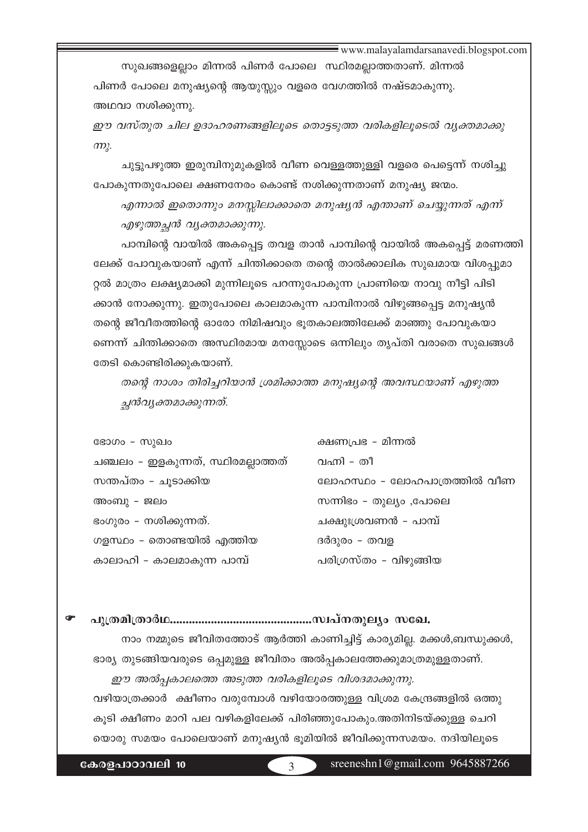www.malayalamdarsanavedi.blogspot.com

സുഖങ്ങളെല്ലാം മിന്നൽ പിണർ പോലെ സ്ഥിരമല്ലാത്തതാണ്. മിന്നൽ പിണർ പോലെ മനുഷ്യന്റെ ആയുസ്സും വളരെ വേഗത്തിൽ നഷ്ടമാകുന്നു. അഥവാ നശിക്കുന്നു.

ഈ വസ്തുത ചില ഉദാഹരണങ്ങളിലൂടെ തൊട്ടടുത്ത വരികളിലൂടെൽ വ്യക്തമാക്കു  $m<sub>k</sub>$ .

ചുട്ടുപഴുത്ത ഇരുമ്പിനുമുകളിൽ വീണ വെള്ളത്തുള്ളി വളരെ പെട്ടെന്ന് നശിച്ചു പോകുന്നതുപോലെ ക്ഷണനേരം കൊണ്ട് നശിക്കുന്നതാണ് മനുഷ്യ ജന്മം.

എന്നാൽ ഇതൊന്നും മനസ്സിലാക്കാതെ മനുഷ്യൻ എന്താണ് ചെയ്യുന്നത് എന്ന് എഴുത്തച്ഛൻ വൃക്തമാക്കുന്നു.

പാമ്പിന്റെ വായിൽ അകപ്പെട്ട തവള താൻ പാമ്പിന്റെ വായിൽ അകപ്പെട്ട് മരണത്തി ലേക്ക് പോവുകയാണ് എന്ന് ചിന്തിക്കാതെ തന്റെ താൽക്കാലിക സുഖമായ വിശപ്പുമാ റ്റൽ മാത്രം ലക്ഷ്യമാക്കി മുന്നിലൂടെ പറന്നുപോകുന്ന പ്രാണിയെ നാവു നീട്ടി പിടി ക്കാൻ നോക്കുന്നു. ഇതുപോലെ കാലമാകുന്ന പാമ്പിനാൽ വിഴുങ്ങപ്പെട്ട മനുഷ്യൻ തന്റെ ജീവീതത്തിന്റെ ഓരോ നിമിഷവും ഭൂതകാലത്തിലേക്ക് മാഞ്ഞു പോവുകയാ ണെന്ന് ചിന്തിക്കാതെ അസ്ഥിരമായ മനസ്സോടെ ഒന്നിലും തൃപ്തി വരാതെ സുഖങ്ങൾ തേടി കൊണ്ടിരിക്കുകയാണ്.

തന്റെ നാശം തിരിച്ചറിയാൻ ശ്രമിക്കാത്ത മനുഷ്യന്റെ അവസ്ഥയാണ് എഴുത്ത ച്ഛൻവൃക്തമാക്കുന്നത്.

ഭോഗം - സുഖം ചഞ്ചലം - ഇളകുന്നത്, സ്ഥിരമല്ലാത്തത് സന്തപ്തം - ചൂടാക്കിയ അംബു - ജലം ഭംഗുരം – നശിക്കുന്നത്. ഗളസ്ഥം - തൊണ്ടയിൽ എത്തിയ കാലാഹി - കാലമാകുന്ന പാമ്പ്

ക്ഷണപ്രഭ - മിന്നൽ വഹി - തീ ലോഹസ്ഥം - ലോഹപാത്രത്തിൽ വീണ സന്നിഭം - തുല്യം ,പോലെ ചക്ഷുഃശ്രവണൻ - പാമ്പ് ദർദുരം - തവള പരിഗ്രസ്തം – വിഴുങ്ങിയ

നാം നമ്മുടെ ജീവിതത്തോട് ആർത്തി കാണിച്ചിട്ട് കാര്യമില്ല. മക്കൾ,ബന്ധുക്കൾ, ഭാര്യ തുടങ്ങിയവരുടെ ഒപ്പമുള്ള ജീവിതം അൽപ്പകാലത്തേക്കുമാത്രമുള്ളതാണ്. ഈ അൽപ്പകാലത്തെ അടുത്ത വരികളിലൂടെ വിശദമാക്കുന്നു. വഴിയാത്രക്കാർ ക്ഷീണം വരുമ്പോൾ വഴിയോരത്തുള്ള വിശ്രമ കേന്ദ്രങ്ങളിൽ ഒത്തു കൂടി ക്ഷീണം മാറി പല വഴികളിലേക്ക് പിരിഞ്ഞുപോകും.അതിനിടയ്ക്കുള്ള ചെറി യൊരു സമയം പോലെയാണ് മനുഷ്യൻ ഭൂമിയിൽ ജീവിക്കുന്നസമയം. നദിയിലൂടെ

കേരളപാഠാവലി 10

 $\overline{\mathbf{z}}$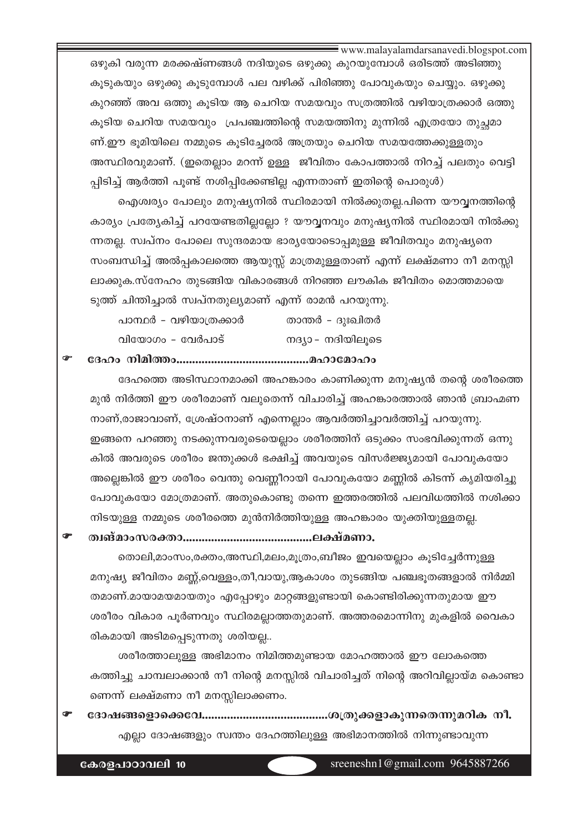www.malayalamdarsanavedi.blogspot.com

ഒഴുകി വരുന്ന മരക്കഷ്ണങ്ങൾ നദിയുടെ ഒഴുക്കു കുറയുമ്പോൾ ഒരിടത്ത് അടിഞ്ഞു കൂടുകയും ഒഴുക്കു കൂടുമ്പോൾ പല വഴിക്ക് പിരിഞ്ഞു പോവുകയും ചെയ്യും. ഒഴുക്കു കുറഞ്ഞ് അവ ഒത്തു കൂടിയ ആ ചെറിയ സമയവും സത്രത്തിൽ വഴിയാത്രക്കാർ ഒത്തു കൂടിയ ചെറിയ സമയവും പ്രപഞ്ചത്തിന്റെ സമയത്തിനു മുന്നിൽ എത്രയോ തുച്ഛമാ ണ്.ഈ ഭൂമിയിലെ നമ്മുടെ കൂടിച്ചേരൽ അത്രയും ചെറിയ സമയത്തേക്കുള്ളതും അസ്ഥിരവുമാണ്. (ഇതെല്ലാം മറന്ന് ഉള്ള ജീവിതം കോപത്താൽ നിറച്ച് പലതും വെട്ടി പ്പിടിച്ച് ആർത്തി പൂണ്ട് നശിപ്പിക്കേണ്ടില്ല എന്നതാണ് ഇതിന്റെ പൊരുൾ)

ഐശ്വര്യം പോലും മനുഷ്യനിൽ സ്ഥിരമായി നിൽക്കുതല്ല.പിന്നെ യൗവ്വനത്തിന്റെ കാര്യം പ്രത്യേകിച്ച് പറയേണ്ടതില്ലല്ലോ ? യൗവ്വനവും മനുഷ്യനിൽ സ്ഥിരമായി നിൽക്കു ന്നതല്ല. സ്ഥ്പനം പോലെ സുന്ദരമായ ഭാര്യയോടൊപ്പമുള്ള ജീവിതവും മനുഷ്യനെ സംബന്ധിച്ച് അൽപ്പകാലത്തെ ആയുസ്സ് മാത്രമുള്ളതാണ് എന്ന് ലക്ഷ്മണാ നീ മനസ്സി ലാക്കുക.സ്നേഹം തുടങ്ങിയ വികാരങ്ങൾ നിറഞ്ഞ ലൗകിക ജീവിതം മൊത്തമായെ ടുത്ത് ചിന്തിച്ചാൽ സ്വപ്നതുല്യമാണ് എന്ന് രാമൻ പറയുന്നു.

| പാന്ഥർ – വഴിയാത്രക്കാർ | താന്തർ - ദുഃഖിതർ |
|------------------------|------------------|
| വിയോഗം - വേർപാട്       | നദ്യാ– നദിയിലൂടെ |

ദേഹത്തെ അടിസ്ഥാനമാക്കി അഹങ്കാരം കാണിക്കുന്ന മനുഷ്യൻ തന്റെ ശരീരത്തെ മുൻ നിർത്തി ഈ ശരീരമാണ് വലുതെന്ന് വിചാരിച്ച് അഹങ്കാരത്താൽ ഞാൻ ബ്രാഹ്മണ നാണ്,രാജാവാണ്, ശ്രേഷ്ഠനാണ് എന്നെല്ലാം ആവർത്തിച്ചാവർത്തിച്ച് പറയുന്നു. ഇങ്ങനെ പറഞ്ഞു നടക്കുന്നവരുടെയെല്ലാം ശരീരത്തിന് ഒടുക്കം സംഭവിക്കുന്നത് ഒന്നു കിൽ അവരുടെ ശരീരം ജന്തുക്കൾ ഭക്ഷിച്ച് അവയുടെ വിസർജ്ജ്യമായി പോവുകയോ അല്ലെങ്കിൽ ഈ ശരീരം വെന്തു വെണ്ണീറായി പോവുകയോ മണ്ണിൽ കിടന്ന് കൃമിയരിച്ചു പോവുകയോ മോത്രമാണ്. അതുകൊണ്ടു തന്നെ ഇത്തരത്തിൽ പലവിധത്തിൽ നശിക്കാ നിടയുള്ള നമ്മുടെ ശരീരത്തെ മുൻനിർത്തിയുള്ള അഹങ്കാരം യുക്തിയുള്ളതല്ല.

തൊലി,മാംസം,രക്തം,അസ്ഥി,മലം,മൂത്രം,ബീജം ഇവയെല്ലാം കൂടിച്ചേർന്നുള്ള മനുഷ്യ ജീവിതം മണ്ണ്,വെള്ളം,തീ,വായു,ആകാശം തുടങ്ങിയ പഞ്ചഭൂതങ്ങളാൽ നിർമ്മി തമാണ്.മായാമയമായതും എപ്പോഴും മാറ്റങ്ങളുണ്ടായി കൊണ്ടിരിക്കുന്നതുമായ ഈ ശരീരം വികാര പൂർണവും സ്ഥിരമല്ലാത്തതുമാണ്. അത്തരമൊന്നിനു മുകളിൽ വൈകാ രികമായി അടിമപ്പെടുന്നതു ശരിയല്ല..

ശരീരത്താലുള്ള അഭിമാനം നിമിത്തമുണ്ടായ മോഹത്താൽ ഈ ലോകത്തെ കത്തിച്ചു ചാമ്പലാക്കാൻ നീ നിന്റെ മനസ്സിൽ വിചാരിച്ചത് നിന്റെ അറിവില്ലായ്മ കൊണ്ടാ ണെന്ന് ലക്ഷ്മണാ നീ മനസ്സിലാക്കണം.

എല്ലാ ദോഷങ്ങളും സ്വന്തം ദേഹത്തിലുള്ള അഭിമാനത്തിൽ നിന്നുണ്ടാവുന്ന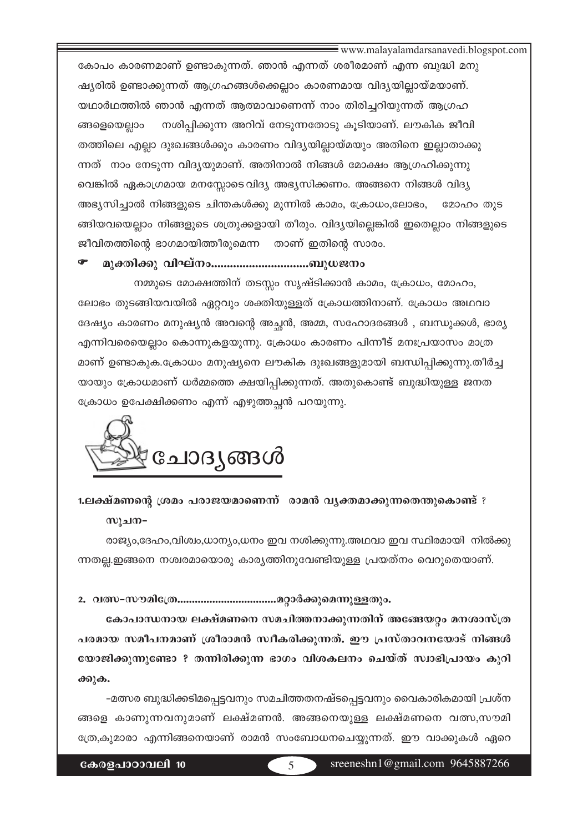www.malayalamdarsanayedi.blogspot.com

കോപം കാരണമാണ് ഉണ്ടാകുന്നത്. ഞാൻ എന്നത് ശരീരമാണ് എന്ന ബുദ്ധി മനു ഷ്യരിൽ ഉണ്ടാക്കുന്നത് ആഗ്രഹങ്ങൾക്കെല്ലാം കാരണമായ വിദ്യയില്ലായ്മയാണ്. യഥാർഥത്തിൽ ഞാൻ എന്നത് ആത്മാവാണെന്ന് നാം തിരിച്ചറിയുന്നത് ആഗ്രഹ നശിപ്പിക്കുന്ന അറിവ് നേടുന്നതോടു കൂടിയാണ്. ലൗകിക ജീവി ങ്ങളെയെല്ലാം തത്തിലെ എല്ലാ ദുഃഖങ്ങൾക്കും കാരണം വിദൃയില്ലായ്മയും അതിനെ ഇല്ലാതാക്കു ന്നത് നാം നേടുന്ന വിദൃയുമാണ്. അതിനാൽ നിങ്ങൾ മോക്ഷം ആഗ്രഹിക്കുന്നു വെങ്കിൽ ഏകാഗ്രമായ മനസ്സോടെവിദ്യ അഭ്യസിക്കണം. അങ്ങനെ നിങ്ങൾ വിദ്യ അഭ്യസിച്ചാൽ നിങ്ങളുടെ ചിന്തകൾക്കു മുന്നിൽ കാമം, ക്രോധം,ലോഭം, മോഹം തുട ങ്ങിയവയെല്ലാം നിങ്ങളുടെ ശത്രുക്കളായി തീരും. വിദ്യയില്ലെങ്കിൽ ഇതെല്ലാം നിങ്ങളുടെ ജീവിതത്തിന്റെ ഭാഗമായിത്തീരുമെന്ന താണ് ഇതിന്റെ സാരം.

#### മുക്തിക്കു വിഘ്നം...............................ബുധജനം

നമ്മുടെ മോക്ഷത്തിന് തടസ്സം സൃഷ്ടിക്കാൻ കാമം, ക്രോധം, മോഹം, ലോഭം തുടങ്ങിയവയിൽ ഏറ്റവും ശക്തിയുള്ളത് ക്രോധത്തിനാണ്. ക്രോധം അഥവാ ദേഷ്യം കാരണം മനുഷ്യൻ അവന്റെ അച്ചൻ, അമ്മ, സഹോദരങ്ങൾ , ബന്ധുക്കൾ, ഭാര്യ എന്നിവരെയെല്ലാം കൊന്നുകളയുന്നു. ക്രോധം കാരണം പിന്നീട് മനഃപ്രയാസം മാത്ര മാണ് ഉണ്ടാകുക.ക്രോധം മനുഷ്യനെ ലൗകിക ദുഃഖങ്ങളുമായി ബന്ധിപ്പിക്കുന്നു.തീർച്ച യായും ക്രോധമാണ് ധർമ്മത്തെ ക്ഷയിപ്പിക്കുന്നത്. അതുകൊണ്ട് ബുദ്ധിയുള്ള ജനത ക്രോധം ഉപേക്ഷിക്കണം എന്ന് എഴുത്തച്ഛൻ പറയുന്നു.



## 1.ലക്ഷ്മണന്റെ ശ്രമം പരാജയമാണെന്ന് രാമൻ വ്യക്തമാക്കുന്നതെന്തുകൊണ്ട് ? സുചന−

രാജ്യം,ദേഹം,വിശ്വം,ധാന്യം,ധനം ഇവ നശിക്കുന്നു.അഥവാ ഇവ സ്ഥിരമായി നിൽക്കു ന്നതല്ല.ഇങ്ങനെ നശ്വരമായൊരു കാര്യത്തിനുവേണ്ടിയുള്ള പ്രയത്നം വെറുതെയാണ്.

#### 

കോപാന്ധനായ ലക്ഷ്മണനെ സമചിത്തനാക്കുന്നതിന് അങ്ങേയറ്റം മനശാസ്ത്ര പരമായ സമീപനമാണ് ശ്രീരാമൻ സ്വീകരിക്കുന്നത്. ഈ പ്രസ്താവനയോട് നിങ്ങൾ യോജിക്കുന്നുണ്ടോ ? തന്നിരിക്കുന്ന ഭാഗം വിശകലനം ചെയ്ത് സ്വാഭിപ്രായം കുറി  $\partial \Theta$ ) $\partial \Theta$ .

–മത്സര ബുദ്ധിക്കടിമപ്പെട്ടവനും സമചിത്തതനഷ്ടപ്പെട്ടവനും വൈകാരികമായി പ്രശ്ന ങ്ങളെ കാണുന്നവനുമാണ് ലക്ഷ്മണൻ. അങ്ങനെയുള്ള ലക്ഷ്മണനെ വത്സ,സൗമി ത്രേ,കുമാരാ എന്നിങ്ങനെയാണ് രാമൻ സംബോധനചെയ്യുന്നത്. ഈ വാക്കുകൾ ഏറെ

കേരളപാഠാവലി 10

 $\overline{5}$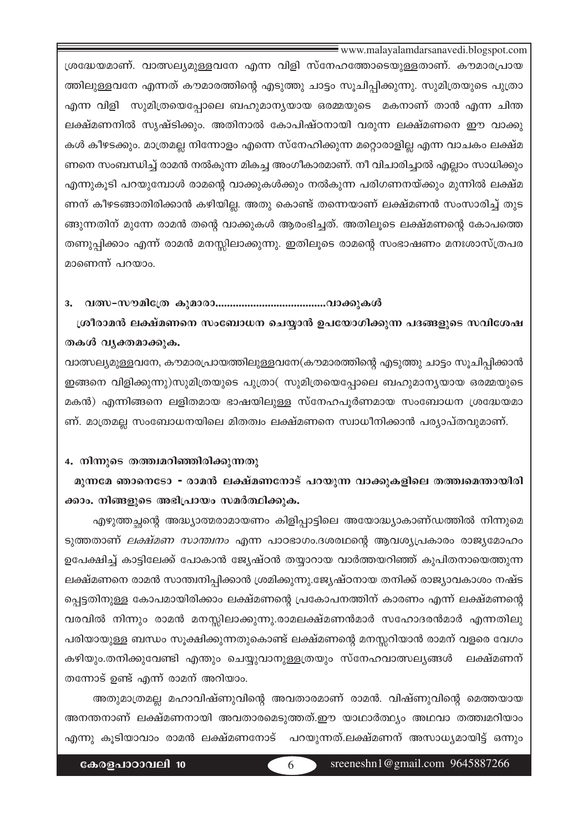www.malayalamdarsanavedi.blogspot.com

(ശദ്ധേയമാണ്. വാത്സല്യമുള്ളവനേ എന്ന വിളി സ്നേഹത്തോടെയുള്ളതാണ്. കൗമാരപ്രായ ത്തിലുള്ളവനേ എന്നത് കൗമാരത്തിന്റെ എടുത്തു ചാട്ടം സൂചിപ്പിക്കുന്നു. സുമിത്രയുടെ പുത്രാ എന്ന വിളി സുമിത്രയെപ്പോലെ ബഹുമാനൃയായ ഒരമ്മയുടെ മകനാണ് താൻ എന്ന ചിന്ത ലക്ഷ്മണനിൽ സൃഷ്ടിക്കും. അതിനാൽ കോപിഷ്ഠനായി വരുന്ന ലക്ഷ്മണനെ ഈ വാക്കു കൾ കീഴടക്കും. മാത്രമല്ല നിന്നോളം എന്നെ സ്നേഹിക്കുന്ന മറ്റൊരാളില്ല എന്ന വാചകം ലക്ഷ്മ ണനെ സംബന്ധിച്ച് രാമൻ നൽകുന്ന മികച്ച അംഗീകാരമാണ്. നീ വിചാരിച്ചാൽ എല്ലാം സാധിക്കും എന്നുകൂടി പറയുമ്പോൾ രാമന്റെ വാക്കുകൾക്കും നൽകുന്ന പരിഗണനയ്ക്കും മുന്നിൽ ലക്ഷ്മ ണന് കീഴടങ്ങാതിരിക്കാൻ കഴിയില്ല. അതു കൊണ്ട് തന്നെയാണ് ലക്ഷ്മണൻ സംസാരിച്ച് തുട ങ്ങുന്നതിന് മുന്നേ രാമൻ തന്റെ വാക്കുകൾ ആരംഭിച്ചത്. അതിലൂടെ ലക്ഷ്മണന്റെ കോപത്തെ തണുപ്പിക്കാം എന്ന് രാമൻ മനസ്സിലാക്കുന്നു. ഇതിലൂടെ രാമന്റെ സംഭാഷണം മനഃശാസ്ത്രപര മാണെന്ന് പറയാം.

#### **3. h'-˛-ku-an-t{X Ipam-cm......................................-hm°p-Iƒ**

്രരീരാമൻ ലക്ഷ്മണനെ സംബോധന ചെയ്യാൻ ഉപയോഗിക്കുന്ന പദങ്ങളുടെ സവിശേഷ തകൾ വൃക്തമാക്കുക.

വാത്സല്യമുള്ളവനേ, കൗമാരപ്രായത്തിലുള്ളവനേ(കൗമാരത്തിന്റെ എടുത്തു ചാട്ടം സൂചിപ്പിക്കാൻ  $\boldsymbol{p}$ ങ്ങനെ വിളിക്കുന്നു)സുമിത്രയുടെ പുത്രാ $($  സുമിത്രയെപ്പോലെ ബഹുമാനൃയായ ഒരമ്മയുടെ മകൻ) എന്നിങ്ങനെ ലളിതമായ ഭാഷയിലുള്ള സ്നേഹപൂർണമായ സംബോധന ശ്രദ്ധേയമാ ണ്. മാത്രമല്ല സംബോധനയിലെ മിതത്വം ലക്ഷ്മണനെ സ്വാധീനിക്കാൻ പര്യാപ്തവുമാണ്.

#### 4. നിന്നുടെ തത്ത്വമറിഞ്ഞിരിക്കുന്നതു

മുന്നമേ ഞാനെടോ - രാമൻ ലക്ഷ്മണനോട് പറയുന്ന വാക്കുകളിലെ തത്ത്വമെന്തായിരി ക്കാം. നിങ്ങളുടെ അഭിപ്രായം സമർത്ഥിക്കുക.

എഴുത്തച്ഛന്റെ അദ്ധ്യാത്മരാമായണം കിളിപ്പാട്ടിലെ അയോദ്ധ്യാകാണ്ഡത്തിൽ നിന്നുമെ ടുത്തതാണ് *ലക്ഷ്മണ സാന്ത്വനം* എന്ന പാഠഭാഗം.ദശരഥന്റെ ആവശ്യപ്രകാരം രാജ്യമോഹം ഉപേക്ഷിച്ച് കാട്ടിലേക്ക് പോകാൻ ജ്യേഷ്ഠൻ തയ്യാറായ വാർത്തയറിഞ്ഞ് കുപിതനായെത്തുന്ന ലക്ഷ്മണനെ രാമൻ സാന്ത്വനിപ്പിക്കാൻ ശ്രമിക്കുന്നു.ജ്യേഷ്ഠനായ തനിക്ക് രാജ്യാവകാശം നഷ്ട പ്പെട്ടതിനുള്ള കോപമായിരിക്കാം ലക്ഷ്മണന്റെ പ്രകോപനത്തിന് കാരണം എന്ന് ലക്ഷ്മണന്റെ വരവിൽ നിന്നും രാമൻ മനസ്സിലാക്കുന്നു.രാമലക്ഷ്മണൻമാർ സഹോദരൻമാർ എന്നതിലു പരിയായുള്ള ബന്ധം സൂക്ഷിക്കുന്നതുകൊണ്ട് ലക്ഷ്മണന്റെ മനസ്സറിയാൻ രാമന് വളരെ വേഗം കഴിയും.തനിക്കുവേണ്ടി എന്തും ചെയ്യുവാനുള്ളത്രയും സ്നേഹവാത്സല്യങ്ങൾ ലക്ഷ്മണന്  $\infty$ നോട് ഉണ്ട് എന്ന് രാമന് അറിയാം.

അതുമാത്രമല്ല മഹാവിഷ്ണുവിന്റെ അവതാരമാണ് രാമൻ. വിഷ്ണുവിന്റെ മെത്തയായ അനന്തനാണ് ലക്ഷ്മണനായി അവതാരമെടുത്തത്.ഈ യാഥാർത്ഥ്യം അഥവാ തത്ത്വമറിയാം എന്നു കൂടിയാവാം രാമൻ ലക്ഷ്മണനോട് പറയുന്നത്.ലക്ഷ്മണന് അസാധൃമായിട്ട് ഒന്നും

6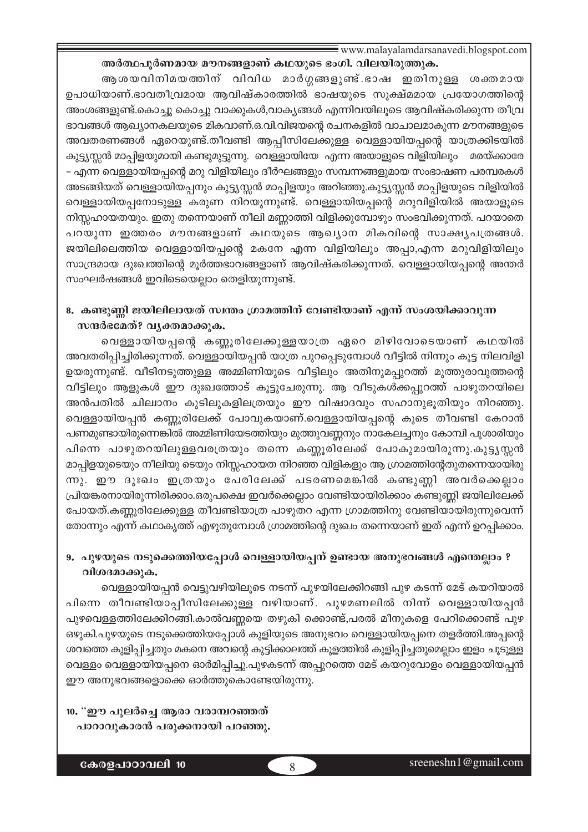www.malayalamdarsanavedi.blogspot.com

അർത്ഥപൂർണമായ മൗനങ്ങളാണ് കഥയുടെ ഭംഗി. വിലയിരുത്തുക. ആശയവിനിമയത്തിന് വിവിധ മാർഗ്ഗങ്ങളുണ്ട്.ഭാഷ ഇതിനുള്ള ശക്തമായ ഉപാധിയാണ്.ഭാവതീവ്രമായ ആവിഷ്കാരത്തിൽ ഭാഷയുടെ സൂക്ഷ്മമായ പ്രയോഗത്തിന്റെ അംശങ്ങളുണ്ട്.കൊച്ചു കൊച്ചു വാക്കുകൾ,വാകൃങ്ങൾ എന്നിവയിലൂടെ ആവിഷ്കരിക്കുന്ന തീവ്ര ഭാവങ്ങൾ ആഖ്യാനകലയുടെ മികവാണ്.ഒ.വി.വിജയന്റെ രചനകളിൽ വാചാലമാകുന്ന മൗനങ്ങളുടെ അവതരണങ്ങൾ ഏറെയുണ്ട്.തീവണ്ടി ആപ്പീസിലേക്കുള്ള വെള്ളായിയപ്പന്റെ യാത്രക്കിടയിൽ കുട്ട്യസ്സൻ മാപ്പിളയുമായി കണ്ടുമുട്ടുന്നു. വെള്ളായിയേ എന്ന അയാളുടെ വിളിയിലും മരയ്ക്കാരേ - എന്ന വെള്ളായിയപ്പന്റെ മറു വിളിയിലും ദീർഘങ്ങളും സമ്പന്നങ്ങളുമായ സംഭാഷണ പരമ്പരകൾ അടങ്ങിയത് വെള്ളായിയപ്പനും കുട്ട്യസ്സൻ മാപ്പിളയും അറിഞ്ഞു.കുട്ട്യസ്സൻ മാപ്പിളയുടെ വിളിയിൽ വെള്ളായിയപ്പനോടുള്ള കരുണ നിറയുന്നുണ്ട്. വെള്ളായിയപ്പന്റെ മറുവിളിയിൽ അയാളുടെ നിസ്സഹായതയും. ഇതു തന്നെയാണ് നീലി മണ്ണാത്തി വിളിക്കുമ്പോഴും സംഭവിക്കുന്നത്. പറയാതെ പറയുന്ന ഇത്തരം മൗനങ്ങളാണ് കഥയുടെ ആഖ്യാന മികവിന്റെ സാക്ഷ്യപത്രങ്ങൾ. ജയിലിലെത്തിയ വെള്ളായിയപ്പന്റെ മകനേ എന്ന വിളിയിലും അപ്പാ,എന്ന മറുവിളിയിലും സാന്ദ്രമായ ദുഃഖത്തിന്റെ മൂർത്തഭാവങ്ങളാണ് ആവിഷ്കരിക്കുന്നത്. വെള്ളായിയപ്പന്റെ അന്തർ സംഘർഷങ്ങൾ ഇവിടെയെല്ലാം തെളിയുന്നുണ്ട്.

## 8. കണ്ടുണ്ണി ജയിലിലായത് സ്വന്തം ഗ്രാമത്തിന് വേണ്ടിയാണ് എന്ന് സംശയിക്കാവുന്ന സന്ദർഭമേത്? വൃക്തമാക്കുക.

വെള്ളായിയപ്പന്റെ കണ്ണൂരിലേക്കുള്ളയാത്ര ഏറെ മിഴിവോടെയാണ് കഥയിൽ അവതരിപ്പിച്ചിരിക്കുന്നത്. വെള്ളായിയപ്പൻ യാത്ര പുറപ്പെടുമ്പോൾ വീട്ടിൽ നിന്നും കൂട്ട നിലവിളി ഉയരുന്നുണ്ട്. വീടിനടുത്തുള്ള അമ്മിണിയുടെ വീട്ടിലും അതിനുമപ്പുറത്ത് മുത്തുരാവുത്തന്റെ വീട്ടിലും ആളുകൾ ഈ ദുഃഖത്തോട് കൂട്ടുചേരുന്നു. ആ വീടുകൾക്കപ്പുറത്ത് പാഴുതറയിലെ അൻപതിൽ ചില്വാനം കുടിലുകളിലത്രയും ഈ വിഷാദവും സഹാനുഭൂതിയും നിറഞ്ഞു. വെള്ളായിയപ്പൻ കണ്ണൂരിലേക്ക് പോവുകയാണ്.വെള്ളായിയപ്പന്റെ കൂടെ തീവണ്ടി കേറാൻ പണമുണ്ടായിരുന്നെങ്കിൽ അമ്മിണിയേടത്തിയും മുത്തുവണ്ണനും നാകേലച്ചനും കോമ്പി പൂശാരിയും പിന്നെ പാഴുതറയിലുള്ളവരത്രയും തന്നെ കണ്ണൂരിലേക്ക് പോകുമായിരുന്നു.കുട്ടൃസ്സൻ മാപ്പിളയുടെയും നീലിയു ടെയും നിസ്സഹായത നിറഞ്ഞ വിളികളും ആ ഗ്രാമത്തിന്റേതുതന്നെയായിരു ന്നു. ഈ ദുഃഖം ഇത്രയും പേരിലേക്ക് പടരണമെങ്കിൽ കണ്ടുണ്ണി അവർക്കെല്ലാം പ്രിയങ്കരനായിരുന്നിരിക്കാം.ഒരുപക്ഷെ ഇവർക്കെല്ലാം വേണ്ടിയായിരിക്കാം കണ്ടുണ്ണി ജയിലിലേക്ക് പോയത്.കണ്ണൂരിലേക്കുള്ള തീവണ്ടിയാത്ര പാഴുതറ എന്ന ഗ്രാമത്തിനു വേണ്ടിയായിരുന്നുവെന്ന് തോന്നും എന്ന് കഥാകൃത്ത് എഴുതുമ്പോൾ ഗ്രാമത്തിന്റെ ദുഃഖം തന്നെയാണ് ഇത് എന്ന് ഉറപ്പിക്കാം.

## 9. പുഴയുടെ നടുക്കെത്തിയപ്പോൾ വെള്ളായിയപ്പന് ഉണ്ടായ അനുഭവങ്ങൾ എന്തെല്ലാം ? വിശദമാക്കുക.

വെള്ളായിയപ്പൻ വെട്ടുവഴിയിലൂടെ നടന്ന് പുഴയിലേക്കിറങ്ങി പുഴ കടന്ന് മേട് കയറിയാൽ പിന്നെ തീവണ്ടിയാപ്പീസിലേക്കുള്ള വഴിയാണ്. പുഴമണലിൽ നിന്ന് വെള്ളായിയപ്പൻ പുഴവെള്ളത്തിലേക്കിറങ്ങി.കാൽവണ്ണയെ തഴുകി ക്കൊണ്ട്,പരൽ മീനുകളെ പേറിക്കൊണ്ട് പുഴ ഒഴുകി.പുഴയുടെ നടുക്കെത്തിയപ്പോൾ കുളിയുടെ അനുഭവം വെള്ളായിയപ്പനെ തളർത്തി.അപ്പന്റെ ശവത്തെ കുളിപ്പിച്ചതും മകനെ അവന്റെ കുട്ടിക്കാലത്ത് കുളത്തിൽ കുളിപ്പിച്ചതുമെല്ലാം ഇളം ചൂടുള്ള വെള്ളം വെള്ളായിയപ്പനെ ഓർമിപ്പിച്ചു.പുഴകടന്ന് അപ്പുറത്തെ മേട് കയറുവോളം വെള്ളായിയപ്പൻ ഈ അനുഭവങ്ങളൊക്കെ ഓർത്തുകൊണ്ടേയിരുന്നു.

10. "ഈ പുലർച്ചെ ആരാ വരാമ്പറഞ്ഞത് പാറാവുകാരൻ പരുക്കനായി പറഞ്ഞു.